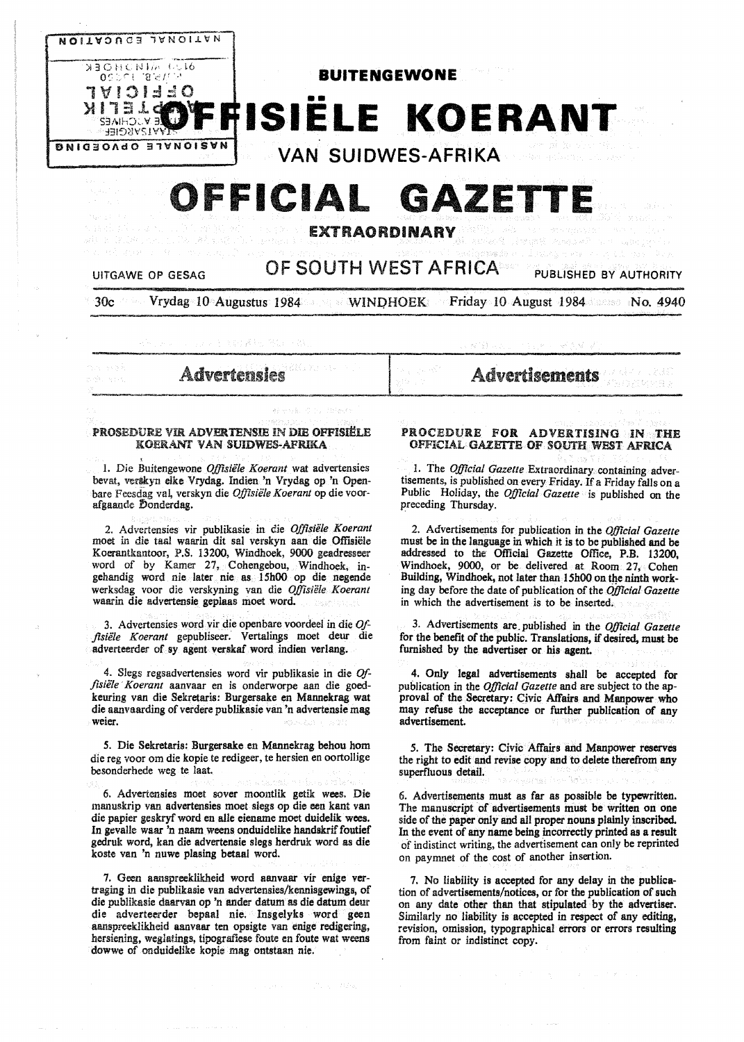

# **OFFICIAL GAZETTI**

EXTRAORDINARY

# UITGAWE OP GESAG **OF SOUTH WEST AFRICA** PUBLISHED BY AUTHORITY

30c Vrydag 10 Augustus 1984 WINDHOEK Friday 10 August 1984 Sees No. 4940

#### PROSEDURE VIR ADVERTENSIE IN DIE OFFISIËLE KOERANT VAN SUIDWES-AFRIKA

1. Die Buitengewone *Offisiifle Koerant* wat advertensies bevat, verskyn elke Vrydag. Indien 'n Vrydag op 'n Openbare Feesdag val, verskyn die Offisiële Koerant op die voorafgaande Donderdag.

2. Advertensies vir publikasie in die *Offisiifle Koerant*  moet in die taal waarin dit sal verskyn aan die Offisiële Koerantkantoor, P.S. 13200, Windhoek, 9000 geadresseer word of by Kamer 27, Cohengebou, Windhoek, ingehandig word nie later nie as 15h00 op die negende werksdag voor die verskyning van die *Offisiele Koerant*  waarin die advertensie geplaas moet word.

3. Advertensies word vir die openbare voordeel in die *Offlsiifle Koerant* gepubliseer. Vertalin\_8s moet deur die adverteerder of sy agent verskaf word indien verlang.

4. Slegs regsadvertensies word vir publikasie in die Of*fisiifle* · *Koerant* aanvaar en is onderworpe aan die goedkeuring van die Sekretaris: Burgersake en Mannekrag wat die aanvaarding of verdere publikasie van 'n advertensie mag weier.

*5.* Die Sekretaris: Burgersake en Mannekrag behou hom die reg voor om die kopie te redigeer, te hersien en oortollige besonderhede weg te laat.

6. Advertensies moet sover moontlik getik wees. Die manuskrip van advertensies moet slegs op die een kant van die papier geskryf word en alle eiename moet duidellk wees. In gevalle waar 'n naam weens onduidelike handskrif foutief gedruk word, kan die advertensie slegs herdruk word as die koste van 'n nuwe plasing betaal word.

7. Geen aanspreeklikheid word aanvaar vir enige vertraging in die publlkasie van advertensies/kennisgewings, of die publikasie daarvan op 'n ander datum as die datum deur die adverteerder bepaal nie. Insgelyks word geen aanspreeklikheid aanvaar ten opsigte van enige redigering, hersiening, weglatings, tipografiese foute en foute wat weens dowwe of onduidellke kopie mag ontstaan nie.

Advertensies **Advertisements** 

## PROCEDURE FOR ADVERTISING IN THE OFFICIAL GAZETTE OF SOUTH WEST AFRICA

1. The *Official Gazette* Extraordinary containing advertisements, is published on every Friday. If a Friday falls on a Public Holiday, the *Official Gazette* is published on the preceding Thursday.

2. Advertisements for publication in the *Official Gazette*  must be in the language in which it is to be published and be addressed to the Official Gazette Office, P.B. 13200, Windhoek, 9000, or be. delivered at Room 27, Cohen Building, Windhoek, not later than l 5h00 on the ninth working day before the date of publication of the *Official Gazette*  in which the advertisement is to be inserted.

3. Advertisements are.published in the *Official Gazette*  for the benefit of the public. Translations, if desired, must be furnished by the advertiser or his agent.

4. Only legal advertisements shall be accepted for publication in the *Official Gazette* and are subject to the approval of the Secretary: Civic Affairs and Manpower who may refuse the acceptance or further publication of any advertisement.

*5.* The Secretary: Civic Affairs and Manpower reserves the right to edit and revise copy and to delete therefrom any superfluous detail.

6. Advertisements must as far as possible be typewritten. The manuscript of advertisements must be written on one side of the paper only and all proper nouns plainly inscribed. In the event of any name being incorrectly printed as a result of indistinct writing, the advertisement can only be reprinted on paymnet of the cost of another insertion.

7. No liability is accepted for any delay in the publication of advertisements/notices, or for the publication of such on any date other than that stipulated by the advertiser. Similarly no liability is accepted in respect of any editing, revision, omission, typographical errors or errors resulting from faint or indistinct copy.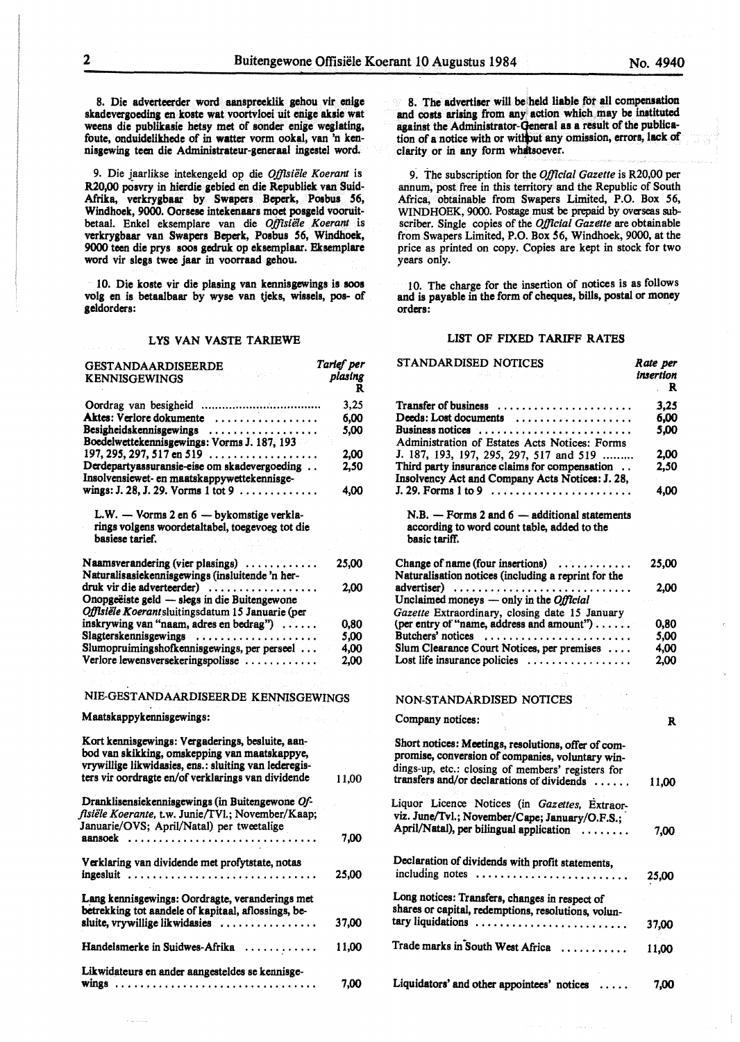8. Die adverteerder word aanspreeklik gehou vir enige skadevergoeding en koste wat voortvloei ult enige aksie wat weens die publikasie hetsy met of sonder enige weglating, foute, onduidelikhede of in watter vorm ookal, van 'n kennisgewing teen die Administrateur-generaal ingestel word.

9. Die jaarlikse intekengeld op die Offisiële Koerant is R20,00 posvry in hierdie **gebied** en die Republiek van Suid-Afrika, verkrygbaar by Swapers Beperk, Poabus *56,*  Windhoek, 9000. Oorsese intekenaars moet posgeld vooruitbetaal. Enkel eksemplare van die *Offisiële Koerant* is verkrygbaar van Swapers Beperk, Posbus 56, Windhoek, 9000 teen die prys soos gedruk op eksemplaar. Eksemplare word vir slegs twee jaar in voorraad gehou.

10. Die koste vir die plasing van kennisgewings is soos volg en is betaalbaar by wyse van tjeks, wissels, pos- of geldorders:

#### LYS VAN VASTE TARIEWE

| GESTANDAARDISEERDE<br><b>KENNISGEWINGS</b>                                                                                                                                                                       | Tarief per<br>plasing<br>R |
|------------------------------------------------------------------------------------------------------------------------------------------------------------------------------------------------------------------|----------------------------|
|                                                                                                                                                                                                                  | 3,25                       |
| Aktes: Verlore dokumente                                                                                                                                                                                         | 6.00                       |
| Besigheidskennisgewings                                                                                                                                                                                          | 5,00                       |
| Boedelwettekennisgewings: Vorms J. 187, 193                                                                                                                                                                      |                            |
|                                                                                                                                                                                                                  | 2.00                       |
| Derdepartyassuransie-eise om skadevergoeding                                                                                                                                                                     | 2,50                       |
| Insolvensiewet- en maatskappywettekennisge-                                                                                                                                                                      |                            |
| wings: J. 28, J. 29. Vorms 1 tot 9 $\dots \dots \dots$                                                                                                                                                           | 4,00                       |
|                                                                                                                                                                                                                  |                            |
| L.W. - Vorms 2 en 6 - bykomstige verkla-<br>rings volgens woordetaltabel, toegevoeg tot die<br>basiese tarief.                                                                                                   |                            |
| Naamsverandering (vier plasings)<br>Naturalisasiekennisgewings (insluitende 'n her-                                                                                                                              | 25,00                      |
| druk vir die adverteerder)                                                                                                                                                                                       | 2,00                       |
| Onopgeëiste geld - slegs in die Buitengewone                                                                                                                                                                     |                            |
| Offisiële Koerantsluitingsdatum 15 Januarie (per                                                                                                                                                                 |                            |
| inskrywing van "naam, adres en bedrag")                                                                                                                                                                          | 0,80                       |
| Slagterskennisgewings                                                                                                                                                                                            | 5.00                       |
| Slumopruimingshofkennisgewings, per perseel                                                                                                                                                                      | 4.00                       |
| Verlore lewensversekeringspolisse                                                                                                                                                                                | 2,00                       |
| 计可变变变 经                                                                                                                                                                                                          |                            |
| NIE-GESTANDAARDISEERDE KENNISGEWINGS                                                                                                                                                                             |                            |
| Maatskappykennisgewings:                                                                                                                                                                                         |                            |
| Kort kennisgewings: Vergaderings, besluite, aan-<br>bod van skikking, omskepping van maatskappye,<br>vrywillige likwidasies, ens.: sluiting van lederegis-<br>ters vir oordragte en/of verklarings van dividende | 11,00                      |
| Dranklisensiekennisgewings (in Buitengewone Of-<br>fisiële Koerante, t.w. Junie/TVl.; November/Kaap;<br>Januarie/OVS; April/Natal) per tweetalige                                                                |                            |
|                                                                                                                                                                                                                  | 7,00                       |
| Verklaring van dividende met profytstate, notas<br>ingesluit                                                                                                                                                     | 25,00                      |
| Lang kennisgewings: Oordragte, veranderings met<br>betrekking tot aandele of kapitaal, aflossings, be-                                                                                                           |                            |
| sluite, vrywillige likwidasies                                                                                                                                                                                   | 37,00                      |
| Handelsmerke in Suidwes-Afrika                                                                                                                                                                                   | 11,00                      |
| Likwidateurs en ander aangesteldes se kennisge-<br>wings                                                                                                                                                         | 7.00                       |

8. The **advertiser will beiheld liable** fot all compensation **and costs arising** from **any action** which.may be Instituted against the Administrator-**General as a result of the publica**tion of a notice with or without any omission, errors, lack of clarity or in any form whatsoever.

9: The subscription for the *Official Gazette* is R20,00 per annum, post free in this territory and the Republic of South Africa, obtainable from Swapers Limited, P.O. Box *56,*  WINDHOEK, 9000. Postage must be prepaid by overseas subscriber. Single copies of the *Official Gazette* are obtainable from Swapers Limited, P.O. Box *56,* Windhoek, 9000, at the price as printed on copy. Copies are kept in stock for two years only.

1 O. The charge for the insertion of notices is as follows **and is payable** in the form of **cheques, bills, postal** or **money**  orders:

#### LIST OF FIXED TARIFF RATES

| STANDARDISED NOTICES                                                                                                                                                                                       | Rate per<br>insertion<br>R |
|------------------------------------------------------------------------------------------------------------------------------------------------------------------------------------------------------------|----------------------------|
| Transfer of business                                                                                                                                                                                       | 3.25                       |
| Deeds: Lost documents                                                                                                                                                                                      | 6.00                       |
| Business notices<br>Administration of Estates Acts Notices: Forms                                                                                                                                          | 5,00                       |
| J. 187, 193, 197, 295, 297, 517 and 519                                                                                                                                                                    | 2,00                       |
| Third party insurance claims for compensation<br>Insolvency Act and Company Acts Notices: J. 28,                                                                                                           | 2,50                       |
| $J. 29.$ Forms 1 to 9 $\ldots \ldots \ldots \ldots \ldots \ldots \ldots$                                                                                                                                   | 4,00                       |
| $N.B.$ - Forms 2 and $6$ - additional statements<br>according to word count table, added to the<br>basic tariff.                                                                                           |                            |
| Change of name (four insertions)<br>Naturalisation notices (including a reprint for the                                                                                                                    | 25,00                      |
| advertiser)<br>Unclaimed moneys — only in the Official                                                                                                                                                     | 2.00                       |
| Gazette Extraordinary, closing date 15 January                                                                                                                                                             |                            |
| (per entry of "name, address and amount")                                                                                                                                                                  | 0,80                       |
| Butchers' notices                                                                                                                                                                                          | 5.00                       |
| Slum Clearance Court Notices, per premises                                                                                                                                                                 | 4,00                       |
| Lost life insurance policies $\dots\dots\dots\dots\dots$                                                                                                                                                   | 2,00                       |
| NON-STANDARDISED NOTICES                                                                                                                                                                                   |                            |
| Company notices:                                                                                                                                                                                           | R                          |
| Short notices: Meetings, resolutions, offer of com-<br>promise, conversion of companies, voluntary win-<br>dings-up, etc.: closing of members' registers for<br>transfers and/or declarations of dividends | 11.00                      |
| Liquor Licence Notices (in Gazettes, Extraor-                                                                                                                                                              |                            |
| viz. June/Tvl.; November/Cape; January/O.F.S.;                                                                                                                                                             |                            |
| April/Natal), per bilingual application<br>.                                                                                                                                                               | 7.00                       |
| Declaration of dividends with profit statements,<br>including notes                                                                                                                                        | 25,00                      |
| Long notices: Transfers, changes in respect of<br>shares or capital, redemptions, resolutions, volun-                                                                                                      |                            |
| tary liquidations                                                                                                                                                                                          | 37,00                      |
| Trade marks in South West Africa                                                                                                                                                                           | 11,00                      |
| Liquidators' and other appointees' notices                                                                                                                                                                 | 7,00                       |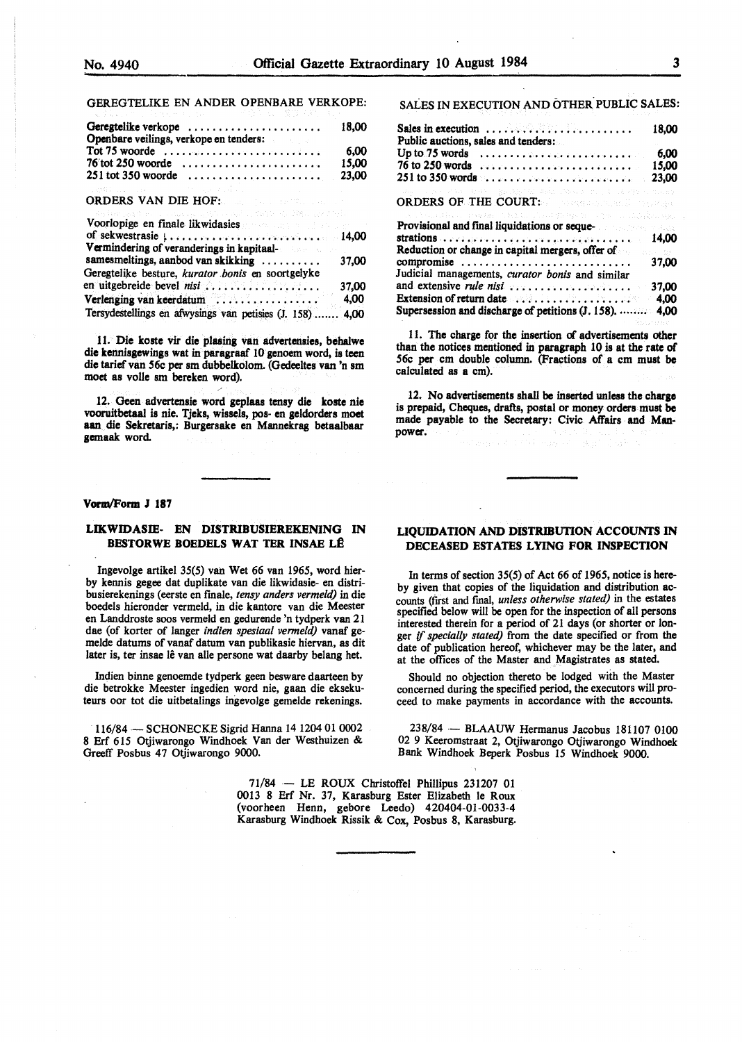#### GEREGTELIKE EN ANDER OPENBARE VERKOPE:

| Geregtelike verkope<br>Openbare veilings, verkope en tenders:                                                  | 18.00 |
|----------------------------------------------------------------------------------------------------------------|-------|
| Tot 75 woorde $\ldots \ldots \ldots \ldots \ldots \ldots \ldots \ldots \ldots$                                 | 6.00  |
|                                                                                                                | 15.00 |
|                                                                                                                |       |
| 이 사람들은 그 사람들은 아이들이 아니라 아이들이 아니라 아이들이 아니라 아이들이 아니라 아이들이 아니라 아이들이 아니라 아이들이 아니라 아이들이 아니라 아이들이 아니라 아이들이 아니라 아이들이 아 |       |

#### ORDERS VAN DIE HOF:

| アンディアン・スペース こうしん こうしん アンディー・ディー・ディー・ディー アール・ディー・ディー エー・エー・エー・エー・エー・エー<br>Voorlopige en finale likwidasies and an anti-state and |       |
|---------------------------------------------------------------------------------------------------------------------------------|-------|
|                                                                                                                                 |       |
| Vermindering of veranderings in kapitaal-                                                                                       |       |
| samesmeltings, aanbod van skikking                                                                                              | 37,00 |
| Geregtelike besture, kurator bonis en soortgelyke                                                                               |       |
| en uitgebreide bevel nisi                                                                                                       | 37,00 |
| Verlenging van keerdatum                                                                                                        | 4,00  |
| Tersydestellings en afwysings van petisies (J. 158)  4,00                                                                       |       |

11. Die koste vir die plasing van advertensies, behalwe die kennisgewings wat in paragraaf 10 genoem word, is teen die tarief van 56c per sm dubbelkolom. (Gedeeltes van 'n sm moet as volle sm bereken word).

12. Geen advertensie word geplaas tensy die koste nie vooruitbetaal is nie. Tjeks, wissels, pos- en geldorders moet **aan** die Sekretaris,: Burgersake en Mannekrag betaalbaar **gemaak** word

#### **Vorm/Porm J 187**

#### **LIKWIDASIE- EN DISTRIBUSIEREKENING** IN **BESTORWE BOEDELS WAT TER INSAE LÊ**

Ingevolge artikel 35(5) van Wet 66 van 1965, word bierby kennis **gegee** dat duplikate van die likwidasie- en distribusierekenings (eerste en finale, *tensy anders vermeld)* in die boedels hieronder vermeld, in die kantore van die Meester en Landdroste soos vermeld en gedurende 'n tydperk van 21 dae (of korter of !anger *indien spesiaal venneld)* vanaf gemelde datums of vanaf datum van publikasie hiervan, as dit later is, ter insae lê van alle persone wat daarby belang het.

Indien binne genoemde tydperk geen besware daarteen by die betrokke Meester ingedien word nie, gaan die eksekuteurs oor tot die uitbetalings ingevolge gemelde rekenings.

116/84 - SCHONECKE Sigrid Hanna 14 1204 01 0002 8 Erf 615 Otjiwarongo Windhoek Van der Westhuizen & Greeff Posbus 47 Otjiwarongo 9000.

SALES IN EXECUTION AND OTHER. PUBLIC SALES:

| Sales in execution $\ldots \ldots \ldots \ldots \ldots$<br>Public auctions, sales and tenders:                                                                                        | 18.00    |
|---------------------------------------------------------------------------------------------------------------------------------------------------------------------------------------|----------|
| Up to $75$ words $\ldots \ldots \ldots \ldots \ldots \ldots \ldots$                                                                                                                   | 6,00     |
| $76$ to 250 words $\ldots \ldots \ldots \ldots \ldots \ldots \ldots$                                                                                                                  | 15,00    |
| 251 to 350 words                                                                                                                                                                      | 23,00    |
| The Common Section Classifier Common Section 2004 (Section 2014) and the Common Section                                                                                               |          |
| ORDERS OF THE COURT: A process and the stage                                                                                                                                          |          |
| TA TERRAHAN TAGAN TALAH TERRAHA SELATA DI MENJERI BE                                                                                                                                  |          |
| Provisional and final liquidations or seque-                                                                                                                                          |          |
| strations of $\mathcal{L}(x)$ , $\mathcal{L}(x)$ , $\mathcal{L}(x)$ , $\mathcal{L}(x)$ , $\mathcal{L}(x)$ , $\mathcal{L}(x)$ , $\mathcal{L}(x)$ , $\mathcal{L}(x)$ , $\mathcal{L}(x)$ | 14.00    |
| Reduction or change in capital mergers, offer of                                                                                                                                      | Base Bar |
| compromise                                                                                                                                                                            | 37,00    |
| Judicial managements, <i>curator bonis</i> and similar                                                                                                                                |          |
| and extensive rule nisi                                                                                                                                                               | 37,00    |
| Extension of return date $\ldots, \ldots, \ldots, \ldots$                                                                                                                             | 4.00     |
| Supersession and discharge of petitions (J. 158).                                                                                                                                     | 4.00     |

11. The charge for the insertion of advertisements other than the notices mentioned in paragraph 10 is at the rate of 56c per cm double column. (Fractions of a cm must **be**  calculated as a cm).

12. No advertisements shall be inserted unless the **charge**  is prepaid, Cheques, drafts, postal or money orders must **be**  made payable to the Secretary: Civic Affairs and Manpower.

#### **LIQUIDATION AND DISTRIBUTION ACCOUNTS** IN **DECEASED ESTATES LYING FOR INSPECTION**

In terms of section 35(5) of Act 66 of 1965, notice is hereby given that copies of the liquidation and distribution accounts (frrst and final, *unless otherwise stated)* in the estates specified below will be open for the inspection of all persons interested therein for a period of 21 days (or shorter or longer ff *specially stated)* from the date specified or from the date of publication hereof, whichever may be the later, and at the offices of the Master and Magistrates as stated.

Should no objection thereto be lodged with the Master concerned during the specified period, the executors will proceed to make payments in accordance with the accounts.

238/84 - BLAAUW Hermanus Jacobus 181107 0100 02 9 Keeromstraat 2, Otjiwarongo Otjiwarongo Windhoek Bank Windhoek Beperk Posbus 15 Windhoek 9000.

71/84 - LE ROUX Christoffel Phillipus 231207 01 0013 8 Erf Nr. 37, Karasburg Ester Elizabeth le Roux (voorheen Henn, gebore Leedo) 420404-01-0033-4 Karasburg Windhoek Rissik & Cox, Posbus 8, Karasburg.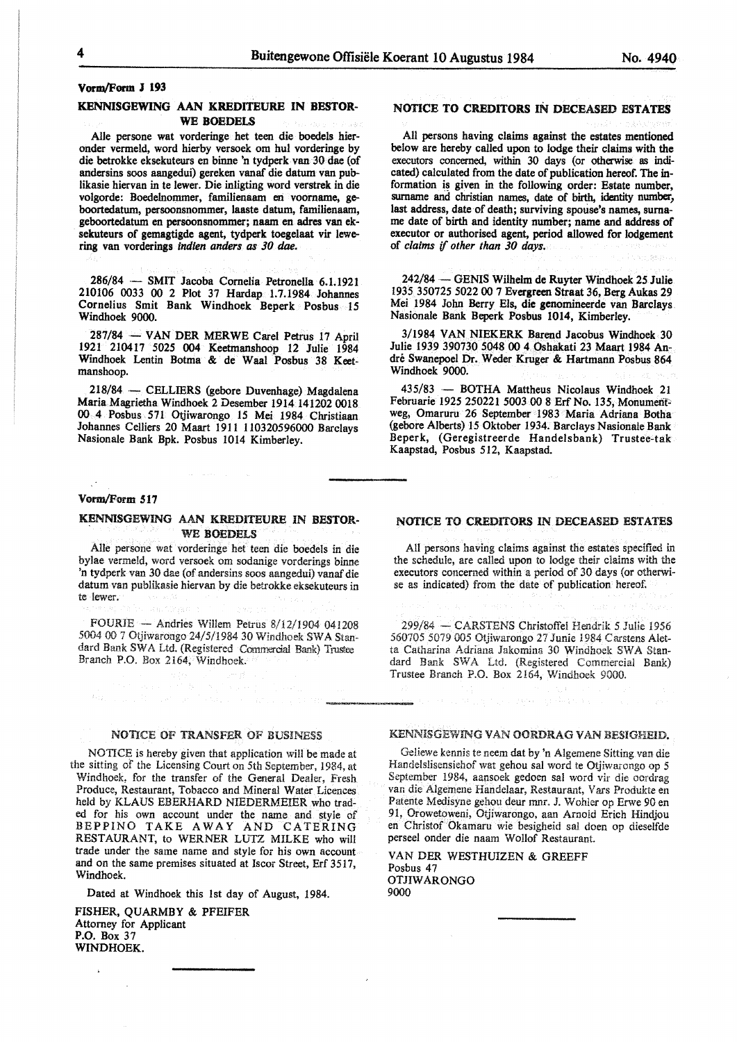# **Vorm/Form J 193**

#### **KENNISGEWING AAN KREDITEURE IN BESTOR-WE BOEDELS**

Alie persone wat vorderinge het teen die boedels hieronder vermeld, word hierby versoek om hut vorderinge by die betrokke eksekuteurs en binne 'n tydperk van 30 dae (of andersins soos aangedui) gereken vanaf die datum van publikasie hiervan in te lewer. Die inligting word verstrek in die volgorde: Boedelnommer, familienaam en voomame, geboortedatum, persoonsnommer, laaste datum, familienaam, geboortedatum en persoonsnommer; naam en adres van eksekuteurs of gemagtigde agent, tydperk toegelaat vir lewering van vorderings *indien anders as 30 dae.* 

286/84 - SMIT Jacoba Cornelia Petronella 6.1.1921 210106 0033 00 2 Plot 37 Hardap 1.7.1984 Johannes Cornelius Smit Bank Windhoek Beperk Posbus 15 Windhoek 9000.

287/84 - VAN DER MERWE Carel Petrus 17 April 1921 210417 5025 004 Keetmanshoop 12 Julie 1984 Windhoek Lentin Botma & de Waal Posbus 38 Keetmanshoop.

218/84 ·- CELLIERS (gebore Duvenhage) Magdalena Maria Magrietha Windhoek 2 Desember 1914 141202 0018 00 4 Posbus 571 Otjiwarongo 15 Mei 1984 Christiaan Johannes Celliers 20 Maart 19ll 110320596000 Barclays Nasionale Bank Bpk. Posbus 1014 Kimberley.

#### Vorm/Form 517

 $\mathbb{R}^2$ 

#### KENNISGEWING AAN KREDITEURE IN **BESTOR-**WE BOEDELS

Alie persone wat vorderinge het teen die boedels in die bylae vermeld, word versoek om sodanige vorderings binne 'n tydperk van 30 dae (of andersins soos aangedui) vanaf die datum van publikasie hiervan by die betrokke eksekuteurs in te lewer.

FOURIE - Andries Willem Petrus 8/12/1904 041208 5004 00 7 Otjiwarongo 24/5/1984 30 Windhoek SWA Standard Bank SWA Ltd. (Registered Commercial Bank) Trustee Branch P.O. Box 2164, Windhoek.

## NOTICE OF TRANSFER OF BUSINESS

NOTICE is hereby given that application will be made at the sitting of the Licensing Court on 5th September, 1984, at Windhoek, for the transfer of the General Dealer, Fresh Produce, Restaurant, Tobacco and Mineral Water Licences held by KLAUS EBERHARD NIEDERMEIER who traded for his own account under the name and style of BEPPINO TAKE A WAY AND CATERING RESTAURANT, to WERNER LUTZ MILKE who will trade under the same name and style for his own account and on the same premises situated at Iscor Street, Erf 3517, Windhoek.

Dated at Windhoek this 1st day of August, 1984.

**FISHER, QUARMBY** & PFEIFER Attorney for Applicant **P.O.** Box 37 **WINDHOEK.** 

# NOTICE **TO CREDITORS** IN DECEASED ESTATES

All persons having claims against the estates mentioned below are hereby called upon to lodge their claims with the executors concerned, within 30 days (or otherwise as indicated) calculated from the date of publication hereof. The information is given in the following order: Estate number, surname and christian names, date of birth, identity number, last address, date of death; surviving spouse's names, surname date of birth and identity number; name and address of executor or authorised agent, period allowed for lodgement of *claims* if *other than 30 days.* 

242/84 - GENIS Wilhelm de Ruyter Windhoek *25* Julie 1935 350725 5022 00 7 Evergreen Straat 36, Berg Aukas 29 Mei 1984 John Berry Els, die genomineerde van Barclays Nasionale Bank Beperk Posbus 1014, Kimberley.

3/1984 VAN NIEKERK. Barend Jacobus Windhoek 30 Julie 1939 390730 5048 00 4 Oshakati 23 Maart 1984 Andre Swanepoel Dr. Weder Kruger & Hartmann Posbus 864 Windhoek 9000.

435/83 - BOTHA Mattheus Nicolaus Windhoek 21 Februarie 1925 250221 5003 00 8 Erf No. 135, Monumentweg, Omaruru 26 September 1983 Maria Adriana Botha (gebore Alberts) 15 Oktober 1934. Barclays Nasionale Bank Beperk, (Geregistreerde Handelsbank) Trustee-tak Kaapstad, Posbus 512, Kaapstad.

# NOTICE TO CREDITORS IN DECEASED ESTATES

All persons having claims against the estates specified in the schedule, are called upon to lodge their claims with the executors concerned within a period of 30 days (or otherwise as indicated) from the date of publication hereof.

299/84 - CARSTENS Christoffel Hendrik 5 Julie 1956 560705 5079 005 Otjiwarongo 27 Junie 1984 Carstens Aletta Catharina Adriana Jakomina 30 Windhoek SWA Standard Bank SWA Ltd. (Registered Commercial Bank) Trustee Branch P.O. Box 2164, Windhoek 9000.

#### KENNISGEWING VAN OORDRAG VAN BESIGHEID.

Geliewe kennis te neem dat by 'n Algemene Sitting van die Handelslisensiehof wat gehou sal word te Otjiwarongo op 5 September 1984, aansoek gedoen sal word vir die oordrag van die Algemene Handelaar, Restaurant, Vars Produkte en Patente Medisyne gehou deur mnr. J. Wohler op Erwe 90 en 91, Orowetoweni, Otjiwarongo, aan Arnoid Erich Hindjou en Christof Okarnaru wie besigheid sal doen op dieselfde perseel onder die naam Wollof Restaurant.

VAN DER WESTHUIZEN & GREEFF Posbus 47 OTJIWARONGO 9000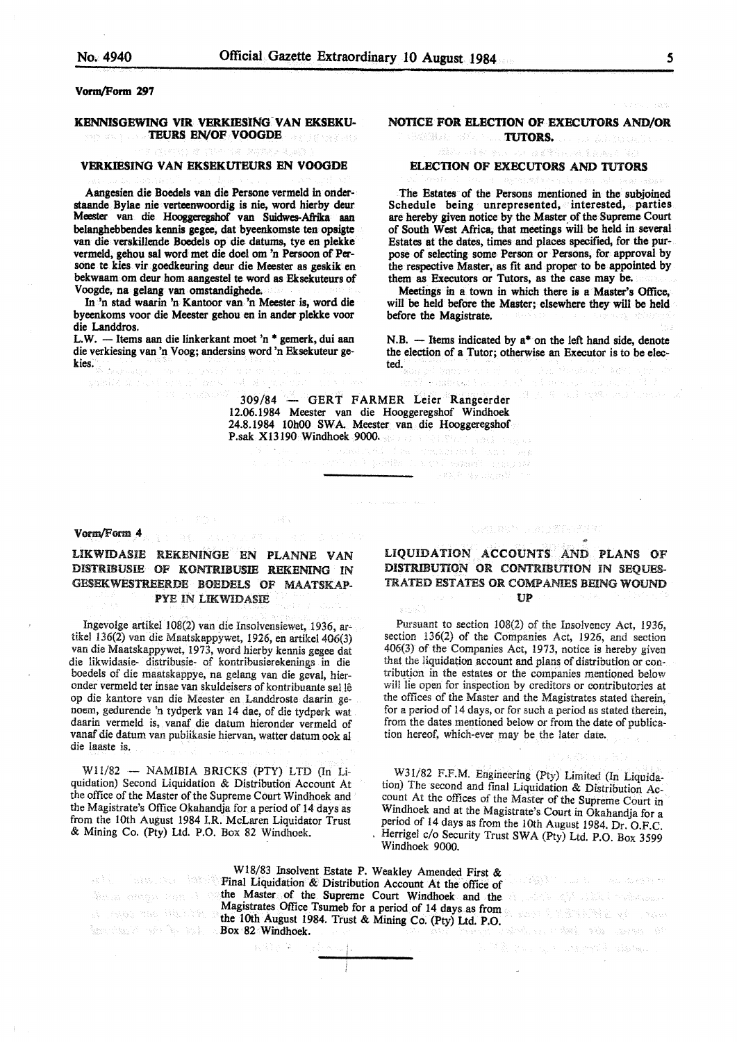#### Vorm/Form 297

#### KENNISGEWING VIR VERKIESING VAN EKSEKU-TEURS EN/OF VOOGDE

# VERKIESING VAN EKSEKUTEURS EN VOOGDE

Aangesien die Boedels van die Persone vermeld in onderstaande Bylae nie verteenwoordig is nie, word hierby deur Meester van die Hooggeregshof van Suidwes-Afiika aan belanghebbendes kennis **gegee,** dat byeenkomste ten opsigte van die verskillende Boedels op die datums, tye en plekke vermeld, gehou sal word met die doel om 'n Persoon of Persone te kies vir goedkeuring deur die Meester as geskik en bekwaam om deur hom aangestel te word as Eksekuteurs of V oogde, na gelang van omstandighede.

In 'n stad waarin 'n Kantoor van 'n Meester is, word die byeenkoms voor die Meester gehou en in ander plekke voor die Landdros.

L.W. - Items aan die linkerkant moet 'n \* gemerk, dui aan die verkiesing van 'n Voog; andersins word 'n Eksekuteur gekies.

 $\label{eq:1} \phi_{\mathcal{A}}^{\mathcal{A}}=\rho_{\mathcal{A}}^{\mathcal{A}}\approx \gamma_{\mathcal{A}}^{\mathcal{A}}$ 

# NOTICE FOR ELECTION OF EXECUTORS AND/OR **ROBERT METHODS.** TUTORS. A REPORT OF A REPORT OF A REPORT OF A REPORT OF A REPORT OF A REPORT OF A REPORT OF A

#### ELECTION OF EXECUTORS AND TUTORS

The Estates of the Persons mentioned in the subjoined Schedule being unrepresented, interested, parties are hereby given notice by the Master of the Supreme Court of South West Africa, that meetings will be held in several Estates at the dates, times and places specified, for the purpose of selecting some Person or Persons, for approval by the respective Master, as fit and proper to be appointed by them as Executors or Tutors, as the case may be.

Meetings in a town in which there is a Master's Office, will be held before the Master; elsewhere they will be held before the Magistrate.

N.B.  $-$  Items indicated by  $a^*$  on the left hand side, denote the election of a Tutor; otherwise an Executor is to be elected.

309/84 GERT FARMER Leier Rangeerder 12.06.1984 Meester van die Hooggeregshof Windhoek 24.8.1984 10h00 SWA Meester van die Hooggeregshof P.sak X13190 Windhoek 9000.

to sil

service buyers for the control

#### Vorm/Form **4**

# UKWIDASIE REKENINGE EN PLANNE VAN DISTRIBUSIE OF KONTRIBUSIE REKENING IN GESEKWESTREERDE BOEDELS OF MAATSKAP-**PYE IN LIKWIDASIE**

Ingevolge artikel 108(2) van die Insolvensiewet, 1936, artikel 136(2) van die Maatskappywet, 1926, en artikel 406(3) van die Maatskappywet, 1973, word hierby kennis gegee dat die likwidasie- distribusie- of kontribusierekenings in die boedels of die maatskappye, na gelang van die geval, hieronder vermeld ter insae van skuldeisers of kontribuante sal le op die kantore van die Meester en Landdroste daarin genoem, gedurende 'n tydperk van 14 dae, of die tydperk wat daarin vermeld is, vanaf die datum hieronder vermeld of vanaf die datum van publikasie hiervan, watter datum ook al die iaaste is.

W11/82 - NAMIBIA BRICKS (PTY) LTD (In Liquidation) Second Liquidation & Distribution Account At the office of the Master of the Supreme Court Windhoek and the Magistrate's Office Okahandja for a period of 14 days as from the 10th August 1984 I.R. McLaren Liquidator Trust & Mining Co. (Pty) Ltd. P.O. Box 82 Windhoek.

图 定于 (1)

# **LIQUIDATION ACCOUNTS** AND **PLANS OF DISTRIBUTION OR CONTRIBUTION** IN SEQUES-TRATED **ESTATES OR** COMP AMES BEING **WOUND UP**

UVAL SUPERINTENT

Pursuant to section 108(2) of the Insolvency Act, 1936, section 136(2) of the Companies Act, 1926, and section 406(3) of the Companies Act, 1973, notice is hereby given that the liquidation account and plans of distribution or contribution in the estates or the companies mentioned below will lie open for inspection by creditors or contributories at the offices of the Master and the Magistrates stated therein, for a period of 14 days, or for such a period as stated therein, from the dates mentioned below or from the date of publication hereof, which-ever may be the later date.

W3I/82 F.F.M. Engineering (Pty) Limited (In Liquidation) The second and fmal Liquidation & Distribution Account At the offices of the Master of the Supreme Court in Windhoek and at the Magistrate's Court in Okahandja for a period of 14 days as from the 10th August 1984. Dr. O.F.C. Herrigel c/o Security Trust SWA (Pty) Ltd. P.O. Box 3599 Windhoek 9000.

is a property of the company of the second section of

to prese dit fill control

LOWER CONTRACT CONTRACTOR

Wl8/83 Insolvent Estate P. Weakley Amended First & **Final Liquidation & Distribution Account At the office of** the Master of the Supreme Court Windhoek and the Second Second State of the Master of the Supreme Court Windhoek and the Second State of State of the Supreme Court Windhoek and the Second State of State of State of the Sec Magistrates Office Tsumeb for a period of 14 days as from the 10th August 1984. Trust & Mining Co. (Pty) Ltd. P.O. **Box 82 Windhoek.**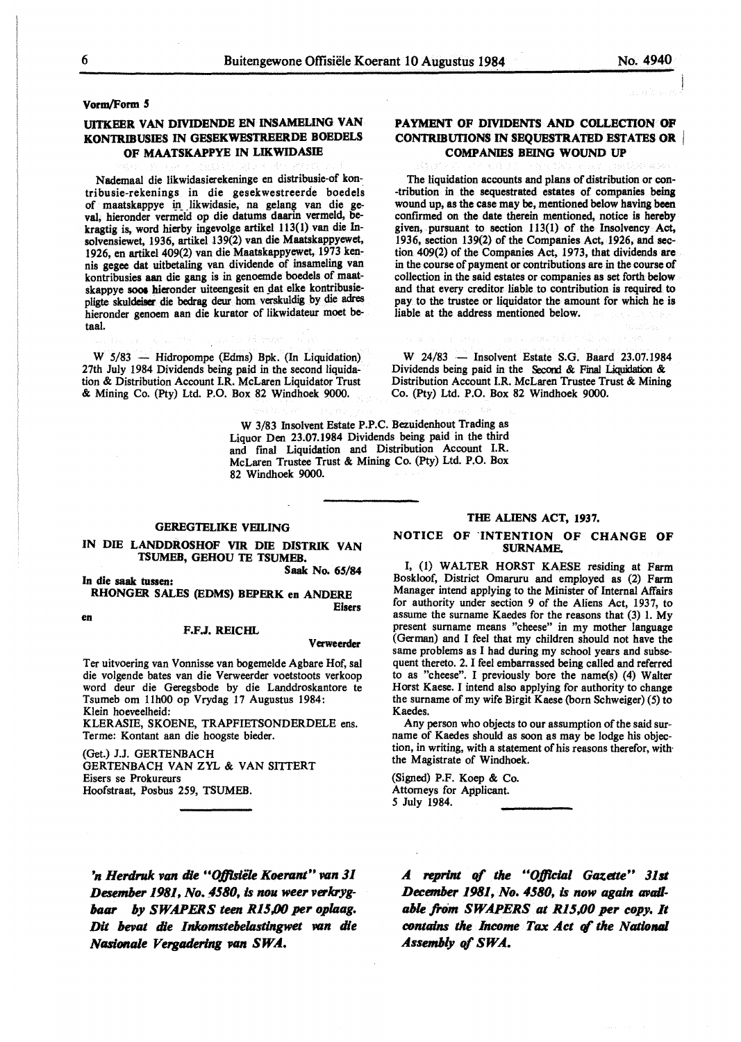**Vonn/Form** *5* 

# **UITKEER VAN DIVIDENDE EN INSAMELING VAN KON'IRIBUSIES IN GESEKWESTREERDE BOEDELS OF MAATSKAPPYE IN LIKWIDASIE**

Nademaal die likwidasierekeninge en distribusie-of kontribusie-rekenings in die gesekwestreerde boedels of maatskappye in likwidasie, na gelang van die geval, hieronder vermeld op die datums daarin vermeld, bekragtig is, word hierby ingevolge artikel 113(1) van die Insolvensiewet, 1936, artikel 139(2) van die Maatskappyewet, 1926, en artikel 409(2) van die Maatskappyewet, 1973 kennis gegee dat uitbetaling van dividende of insameling van kontribusies aan die gang is in genoemde boedels of maatskappye soos hieronder uiteengesit en dat elke kontribusiepligte skuldeiser die bedrag deur hom verskuldig by die adres hieronder genoem aan die kurator of likwidateur moet betaal.

W 5/83 - Hidropompe (Edms) Bpk. (In Liquidation) 27th July 1984 Dividends being paid in the second liquidation & Distribution Account LR. McLaren Liquidator Trust & Mining Co. (Pty) Ltd. P.O. Box 82 Windhoek 9000.

# **PAYMENT OF DIVIDENTS AND COLLECTION OF** CONTRIBUTIONS IN SEQUESTRATED ESTATES OR **COMPANIES BEING WOUND UP**

#### The liquidation accounts and plans of distribution or con- •tribution in the sequestrated estates of companies being wound up, as the case may be, mentioned below having been confirmed on the date therein mentioned, notice is hereby given, pursuant to section 113(1) of the Insolvency Act, 1936, section 139(2) of the Companies Act, 1926, and section 409(2) of the Companies Act, 1973, that dividends are in the course of payment or contributions are in the course of collection in the said estates or companies as set forth below and that every creditor liable to contribution is required to pay to the trustee or liquidator the amount for which he is liable at the address mentioned below.

W 24/83 - Insolvent Estate S.G. Baard 23.07.1984 Dividends being paid in the Second & Final Liquidation & Distribution Account I.R. McLaren Trustee Trust & Mining Co. {Pty) Ltd. P.O. Box 82 Windhoek 9000.

W 3/83 Insolvent Estate P.P.C. Bezuidenhout Trading as Liquor Den 23.07.1984 Dividends being paid in the third and fmal Liquidation and Distribution Account I.R. McLaren Trustee Trust & Mining Co. {Pty) Ltd. P.O. Box 82 Windhoek 9000.

#### GEREGTELIKE **VEILING**

#### IN DIE **LANDDROSHOF VIR DIE DISTRIK VAN TSUMEB, GEHOU TE TSUMEB. Saak No. 65/84**

**In die saak tussen:** 

**RHONGER SALES (EDMS) BEPERK en ANDERE Eisers** 

**en** 

#### **F.F.J. REICHL**

#### **Verweerder**

Ter uitvoering van Vonnisse van bogemelde Agbare Hof, sal die volgende bates van die Verweerder voetstoots verkoop word deur die Geregsbode by die Landdroskantore te Tsumeb om 11h00 op Vrydag 17 Augustus 1984: Klein hoeveelheid:

KLERASIE, SKOENE, TRAPFIETSONDERDELE ens. Terme: Kontant aan die hoogste bieder.

(Get.) J.J. GERTENBACH GERTENBACH VANZYL & VAN SITTERT Eisers se Prokureurs Hoofstraat, Posbus 259, TSUMEB.

#### **THE ALIENS ACT, 1937.**

#### **NOTICE OF .INTENTION OF CHANGE OF SURNAME.**

I, (1) WALTER HORST KAESE residing at Farm Boskloof, District Omaruru and employed as (2) Farm Manager intend applying to the Minister of Internal Affairs for authority under section 9 of the Aliens Act, 1937, to assume the surname Kaedes for the reasons that (3) 1. My present surname means "cheese" in my mother language (German) and I feel that my children should not have the same problems as I bad during my school years and subsequent thereto. 2. I feel embarrassed being called and referred to as "cheese". I previously bore the name(s) (4) Walter Horst Kaese. I intend also applying for authority to **change**  the surname of my wife Birgit Kaese {born Schweiger) (5) to Kaedes.

Any person who objects to our assumption of the said surname of Kaedes should as soon as may be lodge his objection, in writing, with a statement of his reasons therefor, with· the Magistrate of Windhoek.

(Signed) P.F. Koep & Co. Attorneys for Applicant. *5* July 1984.

'n Herdruk van die "Offisiële Koerant" van 31 **Desember 1981, No. 4580, is nou weer verkryg***baar by SWA.PERS teen Rl5.00 per oplaag. Dit bevat die Inkomstebelastingwet van die Nasionale Vergadering van SWA.* 

A reprint of the "Official Gazette" 31st *December 1981, No. 4580, is now again avail*able from SWAPERS at R15,00 per copy. It *contains the Income Tax Act of the National Assembly* of *SWA.*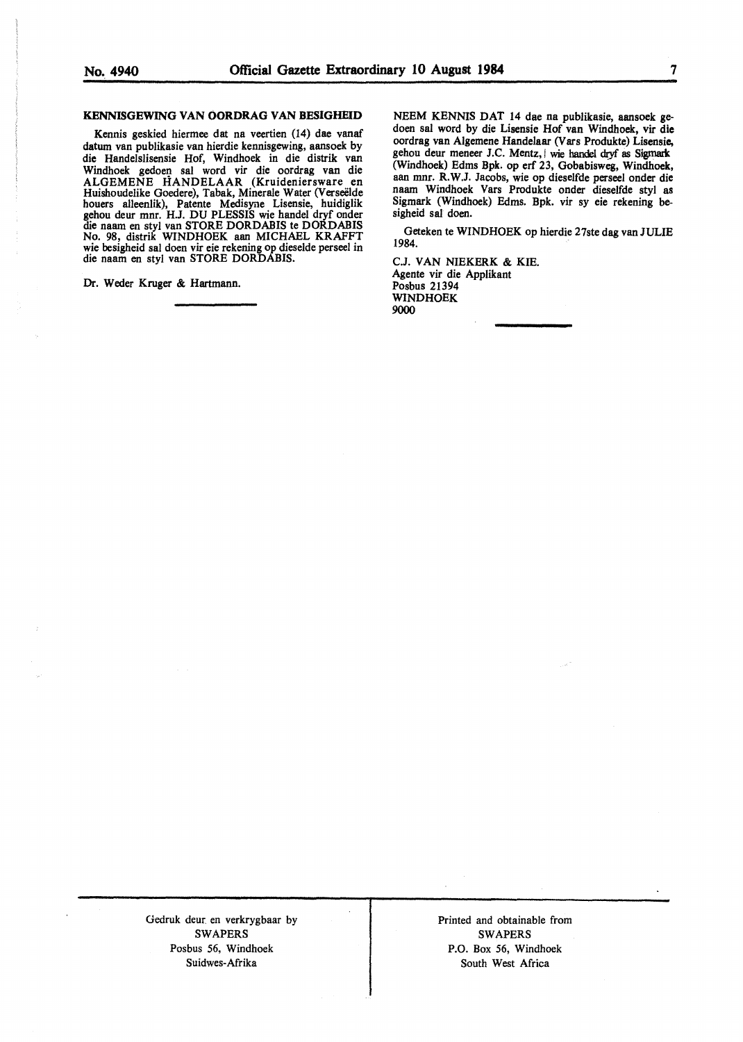#### **KENNISGEWING VAN OORDRAG VAN BESIGHEID**

Kennis geskied hiermee dat na veertien (14) dae vanaf datum van publikasie van hierdie kennisgewing, aansoek by die Handelslisensie Hof, Windhoek in die distrik van Windhoek gedoen sal word vir die oordrag van die ALGEMENE HANDELAAR (Kruideniersware en Huishoudelike Goedere), Tabak, Minerale Water (Verseelde houers alleenlik), Patente Medisyne Lisensie, huidiglik gehou deur mnr. HJ. DU PLESSIS wie handel dryf onder die naam en styl van STORE DORDABIS te DORDABIS No. 98, distrik WINDHOEK aan MICHAEL KRAFFT wie besigheid sat doen vir eie rekening op dieselde perseel in die naam en styl van STORE DORDABIS.

Dr. Weder Kruger & Hartmann.

NEEM KENNIS DAT 14 dae na publikasie, aansoek gedoen sat word by die Lisensie Hof van Windhoek, vir die oordrag van Algemene Handelaar (Vars Produkte) Lisensie, gehou deur meneer J.C. Mentz, wie handel dryf as Sigmark (Windhoek) Edms Bpk. op erf 23, Gobabisweg, Windhoek, aan mnr. R. W.J. Jacobs, wie op dieselfde perseel onder die naam Windhoek Vars Produkte onder dieselfde styl as Sigmark (Windhoek) Edms. Bpk. vir sy eie rekening besigheid sal doen.

Geteken te WINDHOEK op hierdie 27ste dag van JULIE 1984.

CJ. VAN NIEKERK & KIE. Agente vir die Applikant Posbus 21394 **WINDHOEK**  9000

Gedruk deur. en verkrygbaar by SWAPERS Posbus 56, Windhoek Suidwes-Afrika

Printed and obtainable from SWAPERS P.O. Box 56, Windhoek South West Africa